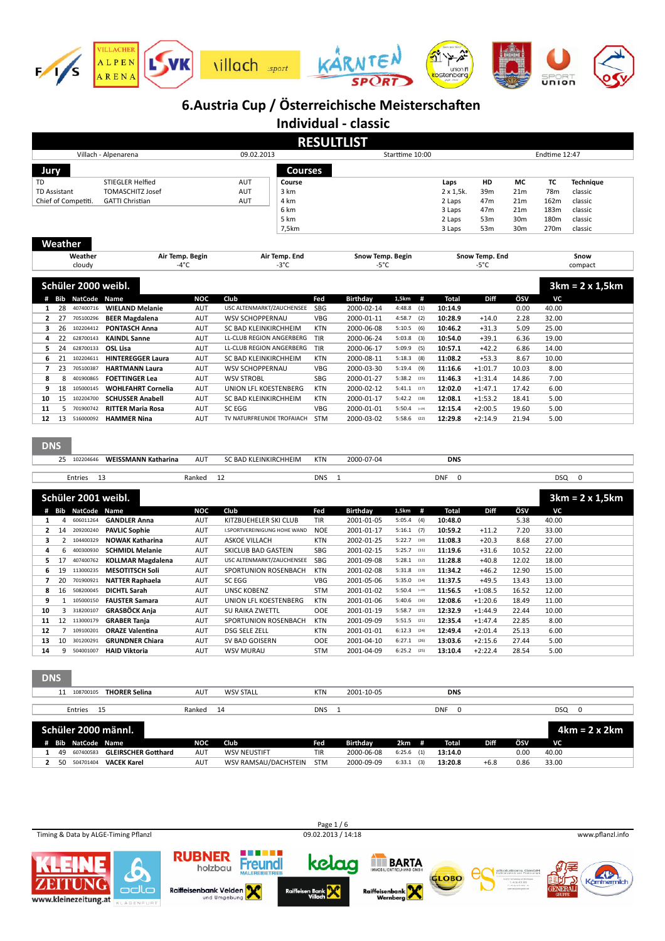

**Individual - classic**

|                     |                |                     |                            |                 |                              |            | <b>RESULTLIST</b> |                   |                           |                |                 |               |                        |
|---------------------|----------------|---------------------|----------------------------|-----------------|------------------------------|------------|-------------------|-------------------|---------------------------|----------------|-----------------|---------------|------------------------|
|                     |                |                     | Villach - Alpenarena       |                 | 09.02.2013                   |            |                   | Starttime 10:00   |                           |                |                 | Endtime 12:47 |                        |
| Jury                |                |                     |                            |                 | <b>Courses</b>               |            |                   |                   |                           |                |                 |               |                        |
| TD                  |                |                     | <b>STIEGLER Helfied</b>    |                 | AUT<br>Course                |            |                   |                   | Laps                      | HD             | МC              | <b>TC</b>     | <b>Technique</b>       |
| <b>TD Assistant</b> |                |                     | <b>TOMASCHITZ Josef</b>    |                 | AUT<br>3 km                  |            |                   |                   | $2 \times 1,5k.$          | 39m            | 21 <sub>m</sub> | 78m           | classic                |
|                     |                | Chief of Competiti. | <b>GATTI Christian</b>     |                 | <b>AUT</b><br>4 km           |            |                   |                   | 2 Laps                    | 47m            | 21 <sub>m</sub> | 162m          | classic                |
|                     |                |                     |                            |                 | 6 km                         |            |                   |                   | 3 Laps                    | 47m            | 21 <sub>m</sub> | 183m          | classic                |
|                     |                |                     |                            |                 | 5 km                         |            |                   |                   | 2 Laps                    | 53m            | 30 <sub>m</sub> | 180m          | classic                |
|                     |                |                     |                            |                 | 7,5km                        |            |                   |                   | 3 Laps                    | 53m            | 30m             | 270m          | classic                |
|                     | Weather        |                     |                            |                 |                              |            |                   |                   |                           |                |                 |               |                        |
|                     |                | Weather             |                            | Air Temp. Begin | Air Temp. End                |            | Snow Temp. Begin  |                   |                           | Snow Temp. End |                 |               | Snow                   |
|                     |                | cloudy              |                            | $-4^{\circ}$ C  | $-3^{\circ}$ C               |            | -5°C              |                   |                           | -5°C           |                 |               | compact                |
|                     |                | Schüler 2000 weibl. |                            |                 |                              |            |                   |                   |                           |                |                 |               | $3km = 2 \times 1,5km$ |
|                     |                | # Bib NatCode Name  |                            | <b>NOC</b>      | Club                         | Fed        | Birthday          | 1,5km<br>#        | <b>Total</b>              | Diff           | ÖSV             | VC            |                        |
| $\mathbf{1}$        | 28             | 407400716           | <b>WIELAND Melanie</b>     | <b>AUT</b>      | USC ALTENMARKT/ZAUCHENSEE    | SBG        | 2000-02-14        | 4:48.8<br>(1)     | 10:14.9                   |                | 0.00            | 40.00         |                        |
| $\overline{2}$      | 27             | 705100296           | <b>BEER Magdalena</b>      | AUT             | <b>WSV SCHOPPERNAU</b>       | <b>VBG</b> | 2000-01-11        | 4:58.7<br>(2)     | 10:28.9                   | $+14.0$        | 2.28            | 32.00         |                        |
| з                   | 26             | 102204412           | <b>PONTASCH Anna</b>       | <b>AUT</b>      | SC BAD KLEINKIRCHHEIM        | <b>KTN</b> | 2000-06-08        | 5:10.5<br>(6)     | 10:46.2                   | $+31.3$        | 5.09            | 25.00         |                        |
| 4                   | 22             | 628700143           | <b>KAINDL Sanne</b>        | AUT             | LL-CLUB REGION ANGERBERG     | TIR        | 2000-06-24        | 5:03.8<br>(3)     | 10:54.0                   | $+39.1$        | 6.36            | 19.00         |                        |
| 5                   | 24             | 628700133           | <b>OSL Lisa</b>            | AUT             | LL-CLUB REGION ANGERBERG     | TIR        | 2000-06-17        | 5:09.9<br>(5)     | 10:57.1                   | $+42.2$        | 6.86            | 14.00         |                        |
| 6                   | 21             | 102204611           | <b>HINTEREGGER Laura</b>   | AUT             | SC BAD KLEINKIRCHHEIM        | <b>KTN</b> | 2000-08-11        | $5:18.3$ (8)      | 11:08.2                   | $+53.3$        | 8.67            | 10.00         |                        |
| $\overline{7}$      | 23             | 705100387           | <b>HARTMANN Laura</b>      | AUT             | <b>WSV SCHOPPERNAU</b>       | <b>VBG</b> | 2000-03-30        | 5:19.4<br>(9)     | 11:16.6                   | $+1:01.7$      | 10.03           | 8.00          |                        |
| 8                   | 8              | 401900865           | <b>FOETTINGER Lea</b>      | AUT             | <b>WSV STROBL</b>            | <b>SBG</b> | 2000-01-27        | 5:38.2<br>(15)    | 11:46.3                   | $+1:31.4$      | 14.86           | 7.00          |                        |
| 9                   | 18             | 105000145           | <b>WOHLFAHRT Cornelia</b>  | AUT             | UNION LFL KOESTENBERG        | <b>KTN</b> | 2000-02-12        | $5:41.1$ (17)     | 12:02.0                   | $+1:47.1$      | 17.42           | 6.00          |                        |
| 10                  | 15             | 102204700           | <b>SCHUSSER Anabell</b>    | AUT             | SC BAD KLEINKIRCHHEIM        | <b>KTN</b> | 2000-01-17        | $5:42.2$ (18)     | 12:08.1                   | $+1:53.2$      | 18.41           | 5.00          |                        |
| 11                  | 5              | 701900742           | <b>RITTER Maria Rosa</b>   | AUT             | SC EGG                       | <b>VBG</b> | 2000-01-01        | 5:50.4<br>$(-19)$ | 12:15.4                   | $+2:00.5$      | 19.60           | 5.00          |                        |
| 12                  |                | 13 516000092        | <b>HAMMER Nina</b>         | AUT             | TV NATURFREUNDE TROFAIACH    | STM        | 2000-03-02        | 5:58.6<br>(22)    | 12:29.8                   | $+2:14.9$      | 21.94           | 5.00          |                        |
| <b>DNS</b>          |                | 25 102204646        | <b>WEISSMANN Katharina</b> | <b>AUT</b>      | SC BAD KLEINKIRCHHEIM        | <b>KTN</b> | 2000-07-04        |                   | <b>DNS</b>                |                |                 |               |                        |
|                     |                |                     |                            |                 |                              |            |                   |                   |                           |                |                 |               |                        |
|                     |                | Entries             | 13                         | Ranked          | 12                           | <b>DNS</b> | $\mathbf{1}$      |                   | <b>DNF</b><br>$\mathbf 0$ |                |                 | <b>DSQ</b>    | $\mathbf 0$            |
|                     |                |                     |                            |                 |                              |            |                   |                   |                           |                |                 |               |                        |
|                     |                | Schüler 2001 weibl. |                            |                 |                              |            |                   |                   |                           |                |                 |               | $3km = 2 \times 1,5km$ |
|                     |                | # Bib NatCode       | Name                       | <b>NOC</b>      | Club                         | Fed        | Birthday          | 1,5km<br>#        | <b>Total</b>              | Diff           | ÖSV             | <b>VC</b>     |                        |
| $\mathbf{1}$        | $\overline{4}$ | 606011264           | <b>GANDLER Anna</b>        | AUT             | KITZBUEHELER SKI CLUB        | TIR        | 2001-01-05        | 5:05.4<br>(4)     | 10:48.0                   |                | 5.38            | 40.00         |                        |
| 2                   | 14             | 209200240           | <b>PAVLIC Sophie</b>       | AUT             | I.SPORTVEREINIGUNG HOHE WAND | <b>NOE</b> | 2001-01-17        | $5:16.1$ (7)      | 10:59.2                   | $+11.2$        | 7.20            | 33.00         |                        |
| з                   |                | 2 104400329         | <b>NOWAK Katharina</b>     | AUT             | <b>ASKOE VILLACH</b>         | <b>KTN</b> | 2002-01-25        | 5:22.7<br>(10)    | 11:08.3                   | $+20.3$        | 8.68            | 27.00         |                        |
| 4                   | 6              | 400300930           | <b>SCHMIDL Melanie</b>     | AUT             | <b>SKICLUB BAD GASTEIN</b>   | <b>SBG</b> | 2001-02-15        | $5:25.7$ (11)     | 11:19.6                   | $+31.6$        | 10.52           | 22.00         |                        |
| 5                   | 17             | 407400762           | <b>KOLLMAR Magdalena</b>   | <b>AUT</b>      | USC ALTENMARKT/ZAUCHENSEE    | <b>SBG</b> | 2001-09-08        | 5:28.1<br>(12)    | 11:28.8                   | $+40.8$        | 12.02           | 18.00         |                        |

 19 113000235 **MESOTITSCH Soli** AUT SPORTUNION ROSENBACH KTN 2001-02-08 5:31.8 (13) **11:34.2** +46.2 12.90 15.00 20 701900921 **NATTER Raphaela** AUT SC EGG VBG 2001-05-06 5:35.0 (14) **11:37.5** +49.5 13.43 13.00 16 508200045 **DICHTL Sarah AUT** UNSC KOBENZ STM 2001-01-02 5:50.4 (=19) **11:56.5** +1:08.5 16.52 12.00 1 105000150 **FAUSTER Samara** AUT UNION LFL KOESTENBERG KTN 2001-01-06 5:40.6 (16) **12:08.6** +1:20.6 18.49 11.00 3 318200107 **GRASBÖCK Anja** AUT SU RAIKA ZWETTL OOE 2001-01-19 5:58.7 (23) **12:32.9** +1:44.9 22.44 10.00 12 113000179 **GRABER Tanja** AUT SPORTUNION ROSENBACH KTN 2001-09-09 5:51.5 (21) **12:35.4** +1:47.4 22.85 8.00 7 109100201 **ORAZE ValenFna** AUT DSG SELE ZELL KTN 2001-01-01 6:12.3 (24) **12:49.4** +2:01.4 25.13 6.00 10 301200291 **GRUNDNER Chiara** AUT SV BAD GOISERN OOE 2001-04-10 6:27.1 (26) **13:03.6** +2:15.6 27.44 5.00 9 504001007 **HAID Viktoria** AUT WSV MURAU STM 2001-04-09 6:25.2 (25) **13:10.4** +2:22.4 28.54 5.00

**DNS**

| 108700105<br>11 | <b>THORER Selina</b>             | <b>AUT</b> | <b>WSV STALL</b>     | <b>KTN</b> | 2001-10-05 |               | <b>DNS</b>      |        |      |                 |
|-----------------|----------------------------------|------------|----------------------|------------|------------|---------------|-----------------|--------|------|-----------------|
|                 |                                  |            |                      |            |            |               |                 |        |      |                 |
| Entries 15      |                                  | Ranked     | 14                   | <b>DNS</b> |            |               | <b>DNF</b><br>0 |        |      | DSQ<br>0        |
|                 |                                  |            |                      |            |            |               |                 |        |      |                 |
|                 | Schüler 2000 männi.              |            |                      |            |            |               |                 |        |      | . 4km = 2 x 2km |
|                 | # Bib NatCode Name               | NOC        | Club                 | Fed        | Birthday   | 2km<br>#      | <b>Total</b>    | Diff   | ÖSV  | VC              |
|                 | 49 607400583 GLEIRSCHER Gotthard | <b>AUT</b> | <b>WSV NEUSTIFT</b>  | <b>TIR</b> | 2000-06-08 | $6:25.6$ (1)  | 13:14.0         |        | 0.00 | 40.00           |
| 50 504701404    | <b>VACEK Karel</b>               | AUT        | WSV RAMSAU/DACHSTEIN | <b>STM</b> | 2000-09-09 | 6:33.1<br>(3) | 13:20.8         | $+6.8$ | 0.86 | 33.00           |
|                 |                                  |            |                      |            |            |               |                 |        |      |                 |

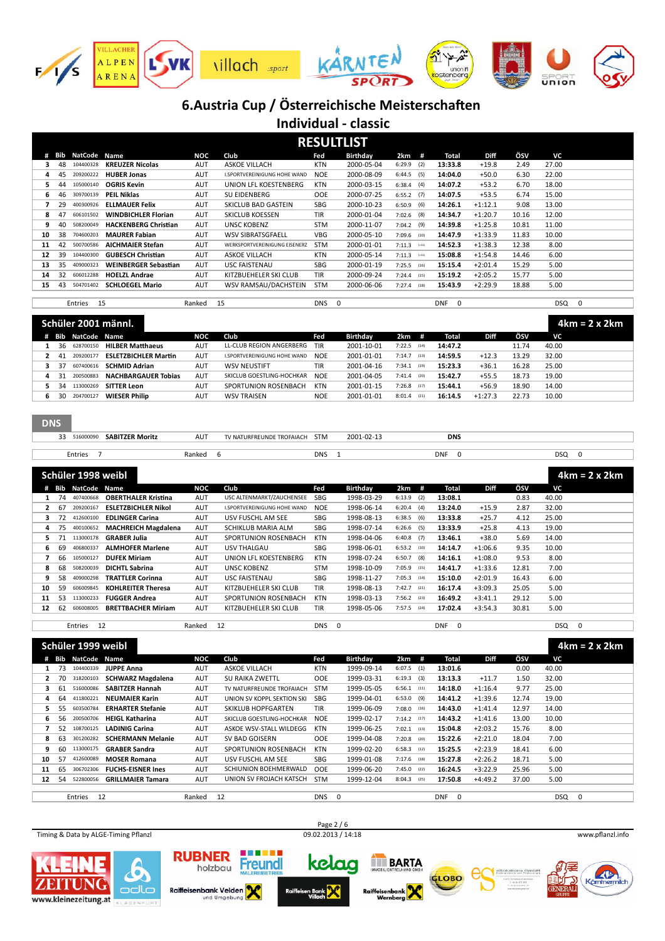

**Individual - classic**

|    |     |               |                             |            |                               |            | <b>RESULTLIST</b> |               |         |                        |             |       |       |             |
|----|-----|---------------|-----------------------------|------------|-------------------------------|------------|-------------------|---------------|---------|------------------------|-------------|-------|-------|-------------|
|    | Bib | NatCode       | Name                        | NOC        | Club                          | Fed        | Birthday          | 2km           | #       | Total                  | <b>Diff</b> | ÖSV   | VC    |             |
|    | 48  | 104400328     | <b>KREUZER Nicolas</b>      | <b>AUT</b> | <b>ASKOE VILLACH</b>          | <b>KTN</b> | 2000-05-04        | 6:29.9        | (2)     | 13:33.8                | $+19.8$     | 2.49  | 27.00 |             |
| 4  | 45  | 209200222     | <b>HUBER Jonas</b>          | <b>AUT</b> | I.SPORTVEREINIGUNG HOHE WAND  | <b>NOE</b> | 2000-08-09        | 6:44.5        | (5)     | 14:04.0                | $+50.0$     | 6.30  | 22.00 |             |
| 5. | 44  | 105000140     | <b>OGRIS Kevin</b>          | <b>AUT</b> | UNION LFL KOESTENBERG         | <b>KTN</b> | 2000-03-15        | $6:38.4$ (4)  |         | 14:07.2                | $+53.2$     | 6.70  | 18.00 |             |
| 6. | 46  | 309700139     | <b>PEIL Niklas</b>          | <b>AUT</b> | SU FIDENBERG                  | <b>OOE</b> | 2000-07-25        | 6:55.2        | (7)     | 14:07.5                | $+53.5$     | 6.74  | 15.00 |             |
|    | 29  | 400300926     | <b>ELLMAUER Felix</b>       | <b>AUT</b> | SKICLUB BAD GASTEIN           | SBG        | 2000-10-23        | 6:50.9        | (6)     | 14:26.1                | $+1:12.1$   | 9.08  | 13.00 |             |
| 8  | 47  | 606101502     | <b>WINDBICHLER Florian</b>  | <b>AUT</b> | <b>SKICLUB KOESSEN</b>        | <b>TIR</b> | 2000-01-04        | $7:02.6$ (8)  |         | 14:34.7                | $+1:20.7$   | 10.16 | 12.00 |             |
| 9  | 40  | 508200049     | <b>HACKENBERG Christian</b> | <b>AUT</b> | <b>UNSC KOBENZ</b>            | <b>STM</b> | 2000-11-07        | $7:04.2$ (9)  |         | 14:39.8                | $+1:25.8$   | 10.81 | 11.00 |             |
| 10 | 38  | 704600203     | <b>MAURER Fabian</b>        | <b>AUT</b> | <b>WSV SIBRATSGFAELL</b>      | <b>VBG</b> | 2000-05-10        | $7:09.6$ (10) |         | 14:47.9                | $+1:33.9$   | 11.83 | 10.00 |             |
| 11 | 42  | 500700586     | <b>AICHMAIER Stefan</b>     | <b>AUT</b> | WERKSPORTVEREINIGUNG EISENERZ | <b>STM</b> | 2000-01-01        | 7:11.3        | $(-11)$ | 14:52.3                | $+1:38.3$   | 12.38 | 8.00  |             |
| 12 | 39  | 104400300     | <b>GUBESCH Christian</b>    | <b>AUT</b> | <b>ASKOE VILLACH</b>          | <b>KTN</b> | 2000-05-14        | 7:11.3        | $(-11)$ | 15:08.8                | $+1:54.8$   | 14.46 | 6.00  |             |
| 13 | 35  | 409000323     | <b>WEINBERGER Sebastian</b> | <b>AUT</b> | <b>USC FAISTENAU</b>          | <b>SBG</b> | 2000-01-19        | 7:25.5        | (16)    | 15:15.4                | $+2:01.4$   | 15.29 | 5.00  |             |
| 14 | 32  | 606012288     | <b>HOELZL Andrae</b>        | <b>AUT</b> | KITZBUEHELER SKI CLUB         | <b>TIR</b> | 2000-09-24        | $7:24.4$ (15) |         | 15:19.2                | $+2:05.2$   | 15.77 | 5.00  |             |
| 15 | 43  | 504701402     | <b>SCHLOEGEL Mario</b>      | <b>AUT</b> | WSV RAMSAU/DACHSTEIN          | <b>STM</b> | 2000-06-06        | $7:27.4$ (18) |         | 15:43.9                | $+2:29.9$   | 18.88 | 5.00  |             |
|    |     |               |                             |            |                               |            |                   |               |         |                        |             |       |       |             |
|    |     | 15<br>Entries |                             | Ranked     | 15                            | <b>DNS</b> | $\mathbf 0$       |               |         | <b>DNF</b><br>$\Omega$ |             |       | DSQ   | $\mathbf 0$ |

|   |     |                    | Schüler 2001 männl.         |            |                              |            |            |                       |         |             |       | $4km = 2 \times 2km$ |
|---|-----|--------------------|-----------------------------|------------|------------------------------|------------|------------|-----------------------|---------|-------------|-------|----------------------|
|   |     | # Bib NatCode Name |                             | NOC        | Club                         | Fed        | Birthday   | 2km<br>$\overline{1}$ | Total   | <b>Diff</b> | ÖSV   | VC                   |
|   | -36 | 628700150          | <b>HILBER Matthaeus</b>     | AUT        | LL-CLUB REGION ANGERBERG TIR |            | 2001-10-01 | 7:22.5<br>(14)        | 14:47.2 |             | 11.74 | 40.00                |
|   | -41 | 209200177          | <b>ESLETZBICHLER Martin</b> | <b>AUT</b> | I.SPORTVEREINIGUNG HOHE WAND | <b>NOE</b> | 2001-01-01 | 7:14.7<br>(13)        | 14:59.5 | $+12.3$     | 13.29 | 32.00                |
|   | -37 | 607400616          | <b>SCHMID Adrian</b>        | <b>AUT</b> | <b>WSV NEUSTIFT</b>          | <b>TIR</b> | 2001-04-16 | 7:34.1<br>(19)        | 15:23.3 | $+36.1$     | 16.28 | 25.00                |
| 4 | -31 | 200500883          | <b>NACHBARGAUER Tobias</b>  | AUT        | SKICLUB GOFSTLING-HOCHKAR    | <b>NOE</b> | 2001-04-05 | 7:41.4<br>(20)        | 15:42.7 | $+55.5$     | 18.73 | 19.00                |
|   | 34  | 113000269          | <b>SITTER Leon</b>          | AUT        | SPORTUNION ROSENBACH         | KTN        | 2001-01-15 | 7:26.8<br>(17)        | 15:44.1 | $+56.9$     | 18.90 | 14.00                |
|   | 30  | 204700127          | <b>WIESER Philip</b>        | <b>AUT</b> | <b>WSV TRAISEN</b>           | <b>NOE</b> | 2001-01-01 | 8:01.4<br>(21)        | 16:14.5 | $+1:27.3$   | 22.73 | 10.00                |

Г

| $\sim$<br><b>SABITZER Moritz</b><br>51600009<br>ر ر | AUT    | TROFAIACH<br><b>UND</b> | <b>STM</b> | 2001-02-13 | <b>DNS</b> |            |  |
|-----------------------------------------------------|--------|-------------------------|------------|------------|------------|------------|--|
|                                                     |        |                         |            |            |            |            |  |
| Entries                                             | Ranked |                         | <b>DNS</b> |            | <b>DNF</b> | <b>DSC</b> |  |

|    |    | Schüler 1998 weibl |                            |            |                                     |            |                 |                |      |         |           |       | $4km = 2x 2km$ |
|----|----|--------------------|----------------------------|------------|-------------------------------------|------------|-----------------|----------------|------|---------|-----------|-------|----------------|
|    |    | # Bib NatCode      | Name                       | NOC        | Club                                | Fed        | <b>Birthday</b> | 2km            | #    | Total   | Diff      | ÖSV   | VC             |
|    | 74 | 407400668          | <b>OBERTHALER Kristina</b> | <b>AUT</b> | USC ALTENMARKT/ZAUCHENSEE           | <b>SBG</b> | 1998-03-29      | 6:13.9<br>(2)  |      | 13:08.1 |           | 0.83  | 40.00          |
|    | 67 | 209200167          | <b>ESLETZBICHLER Nikol</b> | <b>AUT</b> | <b>I.SPORTVEREINIGUNG HOHE WAND</b> | <b>NOE</b> | 1998-06-14      | 6:20.4<br>(4)  |      | 13:24.0 | $+15.9$   | 2.87  | 32.00          |
| З. | 72 | 412600100          | <b>EDLINGER Carina</b>     | AUT        | USV FUSCHL AM SEE                   | <b>SBG</b> | 1998-08-13      | 6:38.5<br>(6)  |      | 13:33.8 | $+25.7$   | 4.12  | 25.00          |
| 4  | 75 | 400100652          | <b>MACHREICH Magdalena</b> | <b>AUT</b> | SCHIKLUB MARIA ALM                  | SBG        | 1998-07-14      | 6:26.6<br>(5)  |      | 13:33.9 | $+25.8$   | 4.13  | 19.00          |
|    |    | 113000178          | <b>GRABER Julia</b>        | <b>AUT</b> | SPORTUNION ROSENBACH                | <b>KTN</b> | 1998-04-06      | 6:40.8<br>(7)  |      | 13:46.1 | $+38.0$   | 5.69  | 14.00          |
| 6. | 69 | 406800337          | <b>ALMHOFER Marlene</b>    | <b>AUT</b> | <b>USV THALGAU</b>                  | SBG        | 1998-06-01      | $6:53.2$ (10)  |      | 14:14.7 | $+1:06.6$ | 9.35  | 10.00          |
| 7  | 66 | 105000127          | <b>DUFEK Miriam</b>        | <b>AUT</b> | UNION LFL KOESTENBERG               | <b>KTN</b> | 1998-07-24      | 6:50.7<br>(8)  |      | 14:16.1 | $+1:08.0$ | 9.53  | 8.00           |
| 8  | 68 | 508200039          | <b>DICHTL Sabrina</b>      | <b>AUT</b> | <b>UNSC KOBENZ</b>                  | <b>STM</b> | 1998-10-09      | 7:05.9         | (15) | 14:41.7 | $+1:33.6$ | 12.81 | 7.00           |
| ٩  | 58 | 409000298          | <b>TRATTLER Corinna</b>    | <b>AUT</b> | <b>USC FAISTENAU</b>                | SBG        | 1998-11-27      | 7:05.3         | (14) | 15:10.0 | $+2:01.9$ | 16.43 | 6.00           |
| 10 | 59 | 606009845          | <b>KOHLREITER Theresa</b>  | <b>AUT</b> | KITZBUEHELER SKI CLUB               | <b>TIR</b> | 1998-08-13      | 7:42.7<br>(21) |      | 16:17.4 | $+3:09.3$ | 25.05 | 5.00           |
| 11 | 53 | 113000233          | <b>FUGGER Andrea</b>       | <b>AUT</b> | SPORTUNION ROSENBACH                | <b>KTN</b> | 1998-03-13      | 7:56.2<br>(23) |      | 16:49.2 | $+3:41.1$ | 29.12 | 5.00           |
| 12 | 62 | 606008005          | <b>BRETTBACHER Miriam</b>  | <b>AUT</b> | KITZBUEHELER SKI CLUB               | TIR        | 1998-05-06      | 7:57.5<br>(24) |      | 17:02.4 | $+3:54.3$ | 30.81 | 5.00           |
|    |    |                    |                            |            |                                     |            |                 |                |      |         |           |       |                |

Entries 12 Ranked 12 DNS 0 DNF 0 DSQ 0

|    |     | Schüler 1999 weibl |                          |            |                            |            |            |                |                        |           |       |            | $4km = 2 \times 2km$ |
|----|-----|--------------------|--------------------------|------------|----------------------------|------------|------------|----------------|------------------------|-----------|-------|------------|----------------------|
|    | Bib | NatCode            | <b>Name</b>              | NOC        | Club                       | Fed        | Birthday   | 2km<br>#       | Total                  | Diff      | ÖSV   | VC         |                      |
|    | 73  | 104400339          | <b>JUPPE Anna</b>        | AUT        | <b>ASKOE VILLACH</b>       | <b>KTN</b> | 1999-09-14 | 6:07.5<br>(1)  | 13:01.6                |           | 0.00  | 40.00      |                      |
|    | 70  | 318200103          | <b>SCHWARZ Magdalena</b> | <b>AUT</b> | <b>SU RAIKA ZWETTL</b>     | <b>OOE</b> | 1999-03-31 | 6:19.3<br>(3)  | 13:13.3                | $+11.7$   | 1.50  | 32.00      |                      |
|    | 61  | 516000086          | <b>SABITZER Hannah</b>   | AUT        | TV NATURFREUNDE TROFAIACH  | <b>STM</b> | 1999-05-05 | $6:56.1$ (11)  | 14:18.0                | $+1:16.4$ | 9.77  | 25.00      |                      |
| 4  | 64  | 411800221          | <b>NEUMAIER Karin</b>    | <b>AUT</b> | UNION SV KOPPL SEKTION SKI | <b>SBG</b> | 1999-04-01 | 6:53.0<br>(9)  | 14:41.2                | $+1:39.6$ | 12.74 | 19.00      |                      |
|    | 55. | 603500784          | <b>ERHARTER Stefanie</b> | <b>AUT</b> | <b>SKIKLUB HOPFGARTEN</b>  | <b>TIR</b> | 1999-06-09 | 7:08.0<br>(16) | 14:43.0                | $+1:41.4$ | 12.97 | 14.00      |                      |
| 6  | 56  | 200500706          | <b>HEIGL Katharina</b>   | <b>AUT</b> | SKICLUB GOESTLING-HOCHKAR  | <b>NOE</b> | 1999-02-17 | 7:14.2<br>(17) | 14:43.2                | $+1:41.6$ | 13.00 | 10.00      |                      |
|    | 52  | 108700125          | <b>LADINIG Carina</b>    | <b>AUT</b> | ASKOE WSV-STALL WILDEGG    | KTN        | 1999-06-25 | 7:02.1<br>(13) | 15:04.8                | $+2:03.2$ | 15.76 | 8.00       |                      |
| 8  | 63  | 301200282          | <b>SCHERMANN Melanie</b> | <b>AUT</b> | SV BAD GOISERN             | <b>OOE</b> | 1999-04-08 | 7:20.8<br>(20) | 15:22.6                | $+2:21.0$ | 18.04 | 7.00       |                      |
| 9  | 60  | 113000175          | <b>GRABER Sandra</b>     | AUT        | SPORTUNION ROSENBACH       | <b>KTN</b> | 1999-02-20 | 6:58.3<br>(12) | 15:25.5                | $+2:23.9$ | 18.41 | 6.00       |                      |
| 10 | 57  | 412600089          | <b>MOSER Romana</b>      | <b>AUT</b> | USV FUSCHL AM SEE          | SBG        | 1999-01-08 | 7:17.6<br>(18) | 15:27.8                | $+2:26.2$ | 18.71 | 5.00       |                      |
| 11 | 65  | 306702306          | <b>FUCHS-EISNER Ines</b> | <b>AUT</b> | SCHIUNION BOFHMERWALD      | <b>OOF</b> | 1999-06-20 | 7:45.0<br>(22) | 16:24.5                | $+3:22.9$ | 25.96 | 5.00       |                      |
| 12 | 54  | 522800056          | <b>GRILLMAIER Tamara</b> | <b>AUT</b> | UNION SV FROJACH KATSCH    | <b>STM</b> | 1999-12-04 | 8:04.3<br>(25) | 17:50.8                | $+4:49.2$ | 37.00 | 5.00       |                      |
|    |     |                    |                          |            |                            |            |            |                |                        |           |       |            |                      |
|    |     | 12<br>Entries      |                          | Ranked     | 12                         | <b>DNS</b> | - 0        |                | <b>DNF</b><br>$\Omega$ |           |       | <b>DSQ</b> | 0                    |

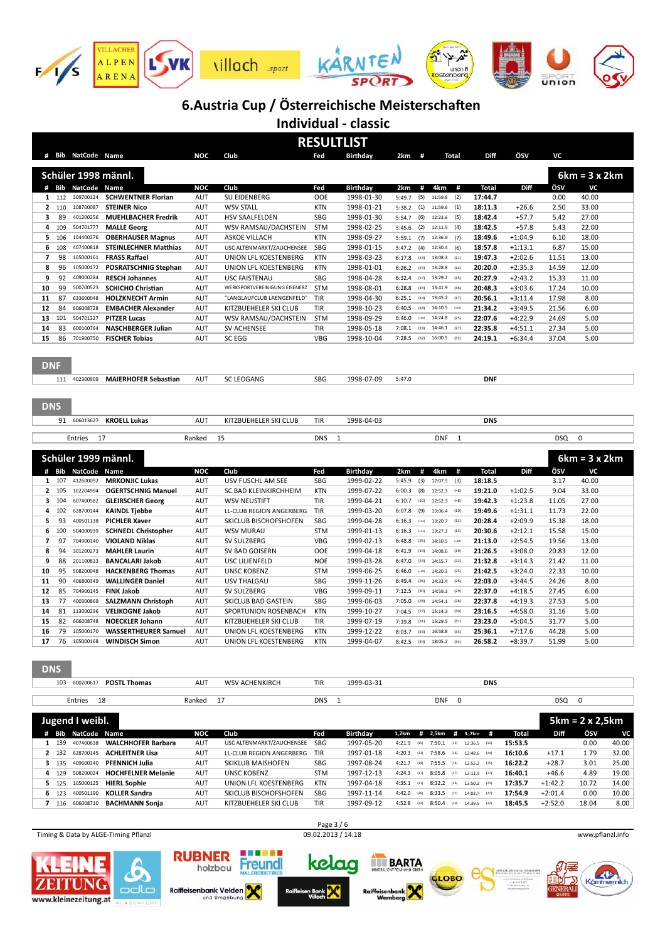

**Individual - classic**

|              |       | # Bib NatCode Name                 |                                             | <b>NOC</b> | Club                          | Fed        | <b>RESULTLIST</b><br><b>Birthday</b> | $2km$ #                        | <b>Total</b>                                  | Diff           | ÖSV                | vc                     |                                 |
|--------------|-------|------------------------------------|---------------------------------------------|------------|-------------------------------|------------|--------------------------------------|--------------------------------|-----------------------------------------------|----------------|--------------------|------------------------|---------------------------------|
|              |       | Schüler 1998 männl.                |                                             |            |                               |            |                                      |                                |                                               |                |                    |                        | $6km = 3x 2km$                  |
|              |       | # Bib NatCode Name                 |                                             | <b>NOC</b> | Club                          | Fed        | <b>Birthday</b>                      | 2km                            | 4km<br>#<br>#                                 | <b>Total</b>   | Diff               | ÖSV                    | VC                              |
|              | 1 112 | 309700124                          | <b>SCHWENTNER Florian</b>                   | AUT        | SU EIDENBERG                  | <b>OOE</b> | 1998-01-30                           | (5)<br>5:49.7                  | (2)<br>11:59.8                                | 17:44.7        |                    | 0.00                   | 40.00                           |
|              | 2 110 | 108700087                          | <b>STEINER Nico</b>                         | <b>AUT</b> | <b>WSV STALL</b>              | <b>KTN</b> | 1998-01-21                           | (1)<br>5:38.2                  | (1)<br>11:59.6                                | 18:11.3        | $+26.6$            | 2.50                   | 33.00                           |
| з            | 89    | 401200256                          | <b>MUEHLBACHER Fredrik</b>                  | <b>AUT</b> | <b>HSV SAALFELDEN</b>         | SBG        | 1998-01-30                           | 5:54.7<br>(6)                  | 12:23.6<br>(5)                                | 18:42.4        | $+57.7$            | 5.42                   | 27.00                           |
|              |       |                                    |                                             |            |                               |            |                                      |                                |                                               |                |                    |                        |                                 |
| 4            | 109   | 504701777                          | <b>MALLE Georg</b>                          | <b>AUT</b> | WSV RAMSAU/DACHSTEIN          | <b>STM</b> | 1998-02-25                           | (2)<br>5:45.6                  | 12:11.5<br>(4)                                | 18:42.5        | $+57.8$            | 5.43                   | 22.00                           |
| 5            | 106   | 104400276                          | <b>OBERHAUSER Magnus</b>                    | <b>AUT</b> | <b>ASKOE VILLACH</b>          | <b>KTN</b> | 1998-09-27                           | (7)<br>5:59.1                  | 12:36.9<br>(7)                                | 18:49.6        | $+1:04.9$          | 6.10                   | 18.00                           |
| 6            | 108   | 407400818                          | <b>STEINLECHNER Matthias</b>                | <b>AUT</b> | USC ALTENMARKT/ZAUCHENSEE     | SBG        | 1998-01-15                           | (4)<br>5:47.2                  | (6)<br>12:30.4                                | 18:57.8        | $+1:13.1$          | 6.87                   | 15.00                           |
| 7            | 98    | 105000161                          | <b>FRASS Raffael</b>                        | <b>AUT</b> | UNION LFL KOESTENBERG         | <b>KTN</b> | 1998-03-23                           | 6:17.8<br>(13)                 | (11)<br>13:08.3                               | 19:47.3        | $+2:02.6$          | 11.51                  | 13.00                           |
| 8            | 96    | 105000172                          | <b>POSRATSCHNIG Stephan</b>                 | <b>AUT</b> | UNION LFL KOESTENBERG         | <b>KTN</b> | 1998-01-01                           | 6:26.2<br>(15)                 | 13:28.8<br>(14)                               | 20:20.0        | $+2:35.3$          | 14.59                  | 12.00                           |
| 9            | 92    | 409000284                          | <b>RESCH Johannes</b>                       | <b>AUT</b> | <b>USC FAISTENAU</b>          | SBG        | 1998-04-28                           | 6:32.4<br>(17)                 | 13:29.2<br>(15)                               | 20:27.9        | $+2:43.2$          | 15.33                  | 11.00                           |
| 10           | 99    | 500700523                          | <b>SCHICHO Christian</b>                    | <b>AUT</b> | WERKSPORTVEREINIGUNG EISENERZ | <b>STM</b> | 1998-08-01                           | 6:28.8<br>(16)                 | 13:41.9<br>(16)                               | 20:48.3        | $+3:03.6$          | 17.24                  | 10.00                           |
| 11           | 87    | 633600048                          | <b>HOLZKNECHT Armin</b>                     | <b>AUT</b> | "LANGLAUFCLUB LAENGENFELD"    | TIR        | 1998-04-30                           | 6:25.1<br>(14)                 | 13:45.2<br>(17)                               | 20:56.1        | $+3:11.4$          | 17.98                  | 8.00                            |
|              |       |                                    |                                             |            |                               |            |                                      |                                |                                               |                |                    |                        |                                 |
| 12           | 84    | 606008728                          | <b>EMBACHER Alexander</b>                   | AUT        | KITZBUEHELER SKI CLUB         | TIR        | 1998-10-23                           | 6:40.5<br>(18)                 | 14:10.5<br>$(-20)$                            | 21:34.2        | $+3:49.5$          | 21.56                  | 6.00                            |
| 13           | 101   | 504701327                          | <b>PITZER Lucas</b>                         | <b>AUT</b> | WSV RAMSAU/DACHSTEIN          | <b>STM</b> | 1998-09-29                           | 6:46.0                         | $(-20)$<br>14:24.8<br>(25)                    | 22:07.6        | $+4:22.9$          | 24.69                  | 5.00                            |
| 14           | 83    | 600100764                          | <b>NASCHBERGER Julian</b>                   | <b>AUT</b> | <b>SV ACHENSEE</b>            | TIR        | 1998-05-18                           | 7:08.1<br>(29)                 | 14:46.1<br>(27)                               | 22:35.8        | $+4:51.1$          | 27.34                  | 5.00                            |
| 15           | 86    | 701900750                          | <b>FISCHER Tobias</b>                       | <b>AUT</b> | SC EGG                        | <b>VBG</b> | 1998-10-04                           | 7:28.5<br>(32)                 | 16:00.5<br>(32)                               | 24:19.1        | $+6:34.4$          | 37.04                  | 5.00                            |
| <b>DNF</b>   |       |                                    |                                             |            |                               |            |                                      |                                |                                               |                |                    |                        |                                 |
|              |       | 111 402300909                      | <b>MAIERHOFER Sebastian</b>                 | <b>AUT</b> | <b>SC LEOGANG</b>             | SBG        | 1998-07-09                           | 5:47.0                         |                                               | <b>DNF</b>     |                    |                        |                                 |
| <b>DNS</b>   | 91    | 606013627                          | <b>KROELL Lukas</b>                         | <b>AUT</b> | KITZBUEHELER SKI CLUB         | <b>TIR</b> | 1998-04-03                           |                                |                                               | <b>DNS</b>     |                    |                        |                                 |
|              |       |                                    |                                             |            |                               |            |                                      |                                |                                               |                |                    |                        |                                 |
|              |       | Entries<br>17                      |                                             | Ranked     | 15                            | <b>DNS</b> | $\mathbf{1}$                         |                                | <b>DNF</b><br>$\mathbf{1}$                    |                |                    | DSQ                    | $\mathbf 0$                     |
|              |       |                                    |                                             |            |                               |            |                                      |                                |                                               |                |                    |                        |                                 |
|              |       |                                    |                                             |            |                               |            |                                      |                                |                                               |                |                    |                        |                                 |
|              |       | Schüler 1999 männl.                |                                             |            |                               |            |                                      |                                |                                               |                |                    |                        | $6km = 3x 2km$                  |
|              |       |                                    |                                             |            |                               |            |                                      |                                |                                               |                |                    |                        |                                 |
|              |       | # Bib NatCode Name                 |                                             | <b>NOC</b> | Club                          | Fed        | <b>Birthday</b>                      | 2km                            | #<br>#<br>4km                                 | <b>Total</b>   | Diff               | ÖSV                    | VC                              |
|              | 1 107 | 412600092                          | <b>MRKONJIC Lukas</b>                       | <b>AUT</b> | USV FUSCHL AM SEE             | <b>SBG</b> | 1999-02-22                           | 5:45.9<br>(3)                  | 12:07.5<br>(3)                                | 18:18.5        |                    | 3.17                   | 40.00                           |
|              |       |                                    |                                             |            |                               |            |                                      | 6:00.3                         | $( = 8)$                                      |                |                    |                        |                                 |
| $\mathbf{2}$ | 105   | 102204994                          | <b>OGERTSCHNIG Manuel</b>                   | <b>AUT</b> | SC BAD KLEINKIRCHHEIM         | <b>KTN</b> | 1999-07-22                           | (8)                            | 12:52.3                                       | 19:21.0        | $+1:02.5$          | 9.04                   | 33.00                           |
| 3            | 104   | 607400582                          | <b>GLEIRSCHER Georg</b>                     | <b>AUT</b> | <b>WSV NEUSTIFT</b>           | <b>TIR</b> | 1999-04-21                           | 6:10.7<br>(10)                 | 12:52.3<br>$( = 8)$                           | 19:42.3        | $+1:23.8$          | 11.05                  | 27.00                           |
| 4            | 102   | 628700144                          | <b>KAINDL Tjebbe</b>                        | <b>AUT</b> | LL-CLUB REGION ANGERBERG      | TIR        | 1999-03-20                           | 6:07.8<br>(9)                  | 13:06.4<br>(10)                               | 19:49.6        | $+1:31.1$          | 11.73                  | 22.00                           |
| 5            | 93    | 400501138                          | <b>PICHLER Xaver</b>                        | <b>AUT</b> | SKICLUB BISCHOFSHOFEN         | <b>SBG</b> | 1999-04-28                           | 6:16.3<br>$(-11)$              | 13:20.7<br>(12)                               | 20:28.4        | $+2:09.9$          | 15.38                  | 18.00                           |
| 6            | 100   | 504000939                          | <b>SCHNEDL Christopher</b>                  | <b>AUT</b> | <b>WSV MURAU</b>              | <b>STM</b> | 1999-01-13                           | 6:16.3<br>$(-11)$              | 13:27.3<br>(13)                               | 20:30.6        | $+2:12.1$          | 15.58                  | 15.00                           |
| 7            | 97    | 704900140                          | <b>VIOLAND Niklas</b>                       | <b>AUT</b> | SV SULZBERG                   | <b>VBG</b> | 1999-02-13                           | 6:48.8<br>(25)                 | 14:10.5<br>$(-20)$                            | 21:13.0        | $+2:54.5$          | 19.56                  | 13.00                           |
| 8            | 94    | 301200273                          | <b>MAHLER Laurin</b>                        | <b>AUT</b> | SV BAD GOISERN                | <b>OOE</b> | 1999-04-18                           | 6:41.9<br>(19)                 | 14:08.6<br>(19)                               | 21:26.5        | $+3:08.0$          | 20.83                  | 12.00                           |
| 9            |       | 201100813                          |                                             |            |                               |            |                                      | 6:47.0<br>(23)                 | 14:15.7<br>(22)                               |                |                    |                        |                                 |
|              | 88    |                                    | <b>BANCALARI Jakob</b>                      | <b>AUT</b> | USC LILIENFELD                | <b>NOE</b> | 1999-03-28                           |                                |                                               | 21:32.8        | $+3:14.3$          | 21.42                  | 11.00                           |
| 10           | 95    | 508200048                          | <b>HACKENBERG Thomas</b>                    | <b>AUT</b> | <b>UNSC KOBENZ</b>            | <b>STM</b> | 1999-06-25                           | 6:46.0<br>$(-20)$              | 14:20.3<br>(23)                               | 21:42.5        | $+3:24.0$          | 22.33                  | 10.00                           |
| 11           | 90    | 406800349                          | <b>WALLINGER Daniel</b>                     | <b>AUT</b> | <b>USV THALGAU</b>            | <b>SBG</b> | 1999-11-26                           | 6:49.4<br>(26)                 | 14:33.4<br>(26)                               | 22:03.0        | $+3:44.5$          | 24.26                  | 8.00                            |
| 12           | 85    | 704900145                          | <b>FINK Jakob</b>                           | <b>AUT</b> | SV SULZBERG                   | <b>VBG</b> | 1999-09-11                           | 7:12.5<br>(30)                 | 14:59.3<br>(29)                               | 22:37.0        | $+4:18.5$          | 27.45                  | 6.00                            |
| 13           | 77    | 400300869                          | <b>SALZMANN Christoph</b>                   | <b>AUT</b> | <b>SKICLUB BAD GASTEIN</b>    | <b>SBG</b> | 1999-06-03                           | 7:05.0<br>(28)                 | 14:54.1<br>(28)                               | 22:37.8        | $+4:19.3$          | 27.53                  | 5.00                            |
| 14           | 81    | 113000296                          | <b>VELIKOGNE Jakob</b>                      | <b>AUT</b> | SPORTUNION ROSENBACH          | <b>KTN</b> | 1999-10-27                           | 7:04.5<br>(27)                 | 15:14.3<br>(30)                               | 23:16.5        | $+4:58.0$          | 31.16                  | 5.00                            |
| 15           | 82    | 606008748                          | <b>NOECKLER Johann</b>                      | <b>AUT</b> | KITZBUEHELER SKI CLUB         | <b>TIR</b> | 1999-07-19                           | 7:19.8<br>(31)                 | 15:29.5<br>(31)                               | 23:23.0        | $+5:04.5$          | 31.77                  | 5.00                            |
| 16           | 79    |                                    | 105000170 WASSERTHEURER Samuel              | AUT        | UNION LFL KOESTENBERG         | KTN        | 1999-12-22                           | $8:03.7$ (33)                  | 16:58.8 (33)                                  | 25:36.1        | $+7:17.6$          | 44.28                  | 5.00                            |
| 17           | 76    |                                    | 105000168 <b>WINDISCH Simon</b>             | AUT        | UNION LFL KOESTENBERG         | <b>KTN</b> | 1999-04-07                           | $8:42.5$ (34)                  | 18:05.2 (34)                                  | 26:58.2        | $+8:39.7$          | 51.99                  | 5.00                            |
| <b>DNS</b>   |       | 103 600200617                      | <b>POSTL Thomas</b>                         | <b>AUT</b> | <b>WSV ACHENKIRCH</b>         | TIR        | 1999-03-31                           |                                |                                               | <b>DNS</b>     |                    |                        |                                 |
|              |       |                                    |                                             |            |                               |            |                                      |                                |                                               |                |                    |                        |                                 |
|              |       | Entries<br>18                      |                                             | Ranked     | 17                            | DNS        | $\mathbf{1}$                         |                                | <b>DNF</b><br>$\pmb{0}$                       |                |                    | DSQ                    | $\mathbf 0$                     |
|              |       |                                    |                                             |            |                               |            |                                      |                                |                                               |                |                    |                        |                                 |
|              |       | Jugend I weibl.                    |                                             |            |                               |            |                                      |                                |                                               |                |                    |                        | $5km = 2 \times 2,5km$          |
|              |       | # Bib NatCode Name                 |                                             | NOC        | Club                          | Fed        | Birthday                             | 1,2km<br>#                     | 2,5km<br>#                                    | 3.,7km<br>#    | <b>Total</b>       | Diff                   | ÖSV<br>VC                       |
|              | 1 139 | 407400638                          | <b>WALCHHOFER Barbara</b>                   | AUT        | USC ALTENMARKT/ZAUCHENSEE     | SBG        | 1997-05-20                           | 4:21.9<br>(15)                 | $7:50.1$ (12) 12:36.5 (12)                    |                | 15:53.5            |                        | 0.00<br>40.00                   |
|              |       | 2 132 628700145                    | <b>ACHLEITNER Lisa</b>                      | AUT        | LL-CLUB REGION ANGERBERG      | TIR        | 1997-01-18                           | 4:20.3<br>(13)                 | $7:58.6$ (16)                                 | 12:48.6 (14)   | 16:10.6            | $+17.1$                | 1.79<br>32.00                   |
|              |       | 3 135 409600340                    | <b>PFENNICH Julia</b>                       | AUT        | SKIKLUB MAISHOFEN             | SBG        | 1997-08-24                           | 4:21.7<br>(14)                 | $7:55.5$ (14) $12:55.2$ (15)                  |                | 16:22.2            | $+28.7$                | 3.01<br>25.00                   |
|              |       | 4 129 508200024                    | <b>HOCHFELNER Melanie</b>                   | AUT        | <b>UNSC KOBENZ</b>            | <b>STM</b> | 1997-12-13                           | 4:24.3<br>(17)                 | $8:05.8$ (17) $13:11.9$ (17)                  |                | 16:40.1            | $+46.6$                | 19.00<br>4.89                   |
|              |       | 5 125 105000125<br>6 123 400501190 | <b>HIERL Sophie</b><br><b>KOLLER Sandra</b> | AUT<br>AUT | UNION LFL KOESTENBERG         | <b>KTN</b> | 1997-04-18<br>1997-11-14             | $4:35.1$ (21)<br>$4:42.0$ (26) | $8:32.2$ (26)<br>$8:33.5$ (27) $14:03.7$ (27) | $13:50.2$ (23) | 17:35.7<br>17:54.9 | $+1:42.2$<br>$+2:01.4$ | 10.72<br>14.00<br>0.00<br>10.00 |

Page  $3/6$ <br>09.02.2013 / 14:18 Timing & Data by ALGE-Timing Pflanzl 09.02.2013 / 14:18 09.02.2013 / 14:18 www.pflanzl.info **RUBNER** kelaa **NO BARTA Freundl** holzbau 坐 LOBO odlo Raiffeisenbank Velden Raiffeise www.kleinezeitung.at nd Umge KLAGENFUR

**7** 116 606008710 **BACHMANN Sonja** AUT KITZBUEHELER SKI CLUB TIR 1997-09-12 4:52.8 (32) 8:50.4 (30) 14:39.5 (32) **18:45.5** +2:52.0 18.04 8.00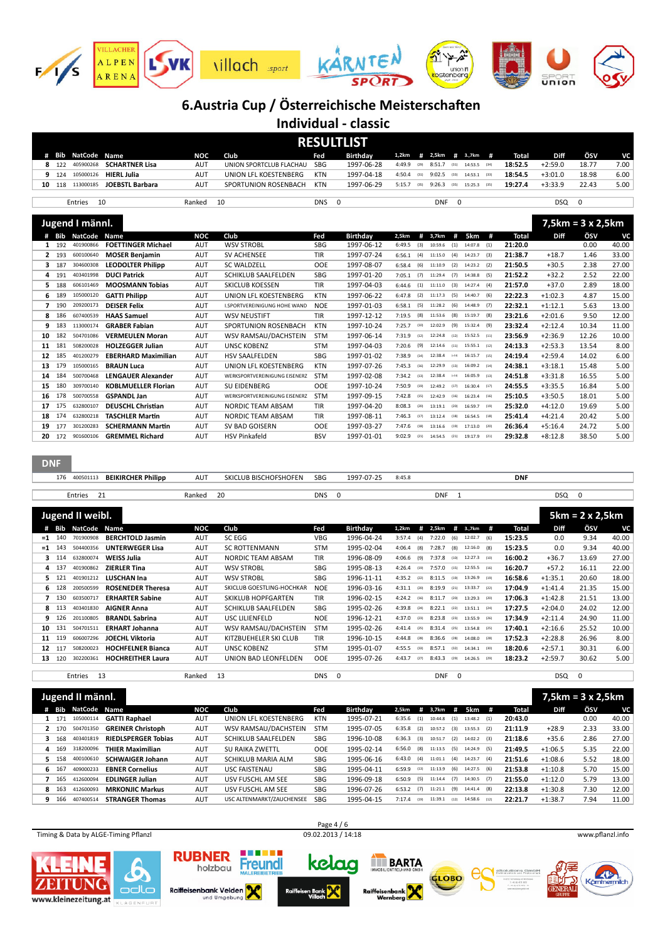

**Individual - classic**

|     | <b>RESULTLIST</b> |                    |                                 |            |                         |     |                 |                          |      |               |  |                |  |         |           |       |      |
|-----|-------------------|--------------------|---------------------------------|------------|-------------------------|-----|-----------------|--------------------------|------|---------------|--|----------------|--|---------|-----------|-------|------|
|     |                   | # Bib NatCode Name |                                 | NOC        | Club                    | Fed | <b>Birthdav</b> | 1,2km # 2,5km # 3.,7km # |      |               |  |                |  | Total   | Diff      | ÖSV   | VC.  |
|     | 8 122             |                    | 405900268 <b>SCHARTNER Lisa</b> | <b>AUT</b> | UNION SPORTCLUB FLACHAU | SBG | 1997-06-28      | 4:49.9                   | (29) | $8:51.7$ (31) |  | 14:53.5 (34)   |  | 18:52.5 | $+2:59.0$ | 18.77 | 7.00 |
|     | 9 124             |                    | 105000126 <b>HIERL Julia</b>    | <b>AUT</b> | UNION LFL KOESTENBERG   | KTN | 1997-04-18      | 4:50.4                   | (31) | $9:02.5$ (33) |  | $14:53.1$ (33) |  | 18:54.5 | $+3:01.0$ | 18.98 | 6.00 |
| 10. | 118               | 113000185          | JOEBSTL Barbara                 | <b>AUT</b> | SPORTUNION ROSENBACH    | KTN | 1997-06-29      | 5:15.7                   | (35) | $9:26.3$ (35) |  | $15:25.3$ (35) |  | 19:27.4 | $+3:33.9$ | 22.43 | 5.00 |
|     |                   |                    |                                 |            |                         |     |                 |                          |      |               |  |                |  |         |           |       |      |

 $\overline{1}$ 

|    |     | Entries            | 10                         | Ranked     | 10                                  | <b>DNS</b> | $\mathbf 0$     |                | <b>DNF</b> | $\mathbf 0$ |                |     |              | DSQ       | 0                        |       |
|----|-----|--------------------|----------------------------|------------|-------------------------------------|------------|-----------------|----------------|------------|-------------|----------------|-----|--------------|-----------|--------------------------|-------|
|    |     | Jugend I männl.    |                            |            |                                     |            |                 |                |            |             |                |     |              |           | $7,5km = 3 \times 2,5km$ |       |
|    |     | <b>Bib NatCode</b> | <b>Name</b>                | <b>NOC</b> | Club                                | Fed        | <b>Birthday</b> | #<br>2,5km     | 3,7km      | #           | 5km            | #   | <b>Total</b> | Diff      | ÖSV                      | VC    |
| 1  | 192 | 401900866          | <b>FOETTINGER Michael</b>  | <b>AUT</b> | <b>WSV STROBL</b>                   | <b>SBG</b> | 1997-06-12      | 6:49.5<br>(3)  | 10:59.6    | (1)         | $14:07.8$ (1)  |     | 21:20.0      |           | 0.00                     | 40.00 |
| 2  | 193 | 600100640          | <b>MOSER Benjamin</b>      | <b>AUT</b> | <b>SV ACHENSEE</b>                  | <b>TIR</b> | 1997-07-24      | (4)<br>6:56.1  | 11:15.0    | (4)         | $14:23.7$ (3)  |     | 21:38.7      | $+18.7$   | 1.46                     | 33.00 |
| 3. | 187 | 304600308          | <b>LEODOLTER Philipp</b>   | <b>AUT</b> | <b>SC WALDZELL</b>                  | <b>OOE</b> | 1997-08-07      | (6)<br>6:58.4  | 11:10.9    | (2)         | $14:23.2$ (2)  |     | 21:50.5      | $+30.5$   | 2.38                     | 27.00 |
| 4  | 191 | 403401998          | <b>DUCI Patrick</b>        | <b>AUT</b> | SCHIKLUB SAALFELDEN                 | <b>SBG</b> | 1997-01-20      | (7)<br>7:05.1  | 11:29.4    | (7)         | $14:38.8$ (5)  |     | 21:52.2      | $+32.2$   | 2.52                     | 22.00 |
| 5. | 188 | 606101469          | <b>MOOSMANN Tobias</b>     | <b>AUT</b> | <b>SKICLUB KOESSEN</b>              | <b>TIR</b> | 1997-04-03      | (1)<br>6:44.6  | 11:11.0    | (3)         | $14:27.4$ (4)  |     | 21:57.0      | $+37.0$   | 2.89                     | 18.00 |
| 6  | 189 | 105000120          | <b>GATTI Philipp</b>       | <b>AUT</b> | UNION LFL KOESTENBERG               | <b>KTN</b> | 1997-06-22      | (2)<br>6:47.8  | 11:17.3    | (5)         | $14:40.7$ (6)  |     | 22:22.3      | $+1:02.3$ | 4.87                     | 15.00 |
|    | 190 | 209200173          | <b>DEISER Felix</b>        | <b>AUT</b> | <b>I.SPORTVEREINIGUNG HOHE WAND</b> | <b>NOE</b> | 1997-01-03      | (5)<br>6:58.1  | 11:28.2    | (6)         | $14:48.9$ (7)  |     | 22:32.1      | $+1:12.1$ | 5.63                     | 13.00 |
| 8  | 186 | 607400539          | <b>HAAS Samuel</b>         | <b>AUT</b> | <b>WSV NEUSTIFT</b>                 | <b>TIR</b> | 1997-12-12      | (8)<br>7:19.5  | 11:53.6    | (8)         | 15:19.7        | (8) | 23:21.6      | $+2:01.6$ | 9.50                     | 12.00 |
|    | 183 | 113000174          | <b>GRABER Fabian</b>       | <b>AUT</b> | SPORTUNION ROSENBACH                | <b>KTN</b> | 1997-10-24      | 7:25.7<br>(10) | 12:02.9    | (9)         | $15:32.4$ (9)  |     | 23:32.4      | $+2:12.4$ | 10.34                    | 11.00 |
| 10 | 182 | 504701086          | <b>VERMEULEN Moran</b>     | <b>AUT</b> | WSV RAMSAU/DACHSTEIN                | <b>STM</b> | 1997-06-14      | 7:31.9<br>(12) | 12:24.8    | (12)        | 15:52.5 (11)   |     | 23:56.9      | $+2:36.9$ | 12.26                    | 10.00 |
| 11 | 181 | 508200028          | <b>HOLZEGGER Julian</b>    | <b>AUT</b> | <b>UNSC KOBENZ</b>                  | <b>STM</b> | 1997-04-03      | (9)<br>7:20.6  | 12:14.6    | (11)        | 15:55.1 (12)   |     | 24:13.3      | $+2:53.3$ | 13.54                    | 8.00  |
| 12 | 185 | 401200279          | <b>EBERHARD Maximilian</b> | <b>AUT</b> | <b>HSV SAALFELDEN</b>               | <b>SBG</b> | 1997-01-02      | 7:38.9<br>(14) | 12:38.4    | $(-14)$     | $16:15.7$ (15) |     | 24:19.4      | $+2:59.4$ | 14.02                    | 6.00  |
| 13 | 179 | 105000165          | <b>BRAUN Luca</b>          | <b>AUT</b> | UNION LFL KOESTENBERG               | <b>KTN</b> | 1997-07-26      | 7:45.3<br>(16) | 12:29.9    | (13)        | 16:09.2 (14)   |     | 24:38.1      | $+3:18.1$ | 15.48                    | 5.00  |
| 14 | 184 | 500700468          | <b>LENGAUER Alexander</b>  | <b>AUT</b> | WERKSPORTVEREINIGUNG EISENERZ       | <b>STM</b> | 1997-02-08      | 7:34.2<br>(13) | 12:38.4    | $(-14)$     | $16:05.9$ (13) |     | 24:51.8      | $+3:31.8$ | 16.55                    | 5.00  |
| 15 | 180 | 309700140          | <b>KOBLMUELLER Florian</b> | <b>AUT</b> | <b>SU EIDENBERG</b>                 | <b>OOE</b> | 1997-10-24      | 7:50.9<br>(19) | 12:49.2    | (17)        | 16:30.4 (17)   |     | 24:55.5      | $+3:35.5$ | 16.84                    | 5.00  |
| 16 | 178 | 500700558          | <b>GSPANDL Jan</b>         | <b>AUT</b> | WERKSPORTVEREINIGUNG EISENERZ       | <b>STM</b> | 1997-09-15      | 7:42.8<br>(15) | 12:42.9    | (16)        | 16:23.4 (16)   |     | 25:10.5      | $+3:50.5$ | 18.01                    | 5.00  |
| 17 | 175 | 632800107          | <b>DEUSCHL Christian</b>   | <b>AUT</b> | <b>NORDIC TEAM ABSAM</b>            | <b>TIR</b> | 1997-04-20      | 8:08.3<br>(20) | 13:19.1    | (20)        | 16:59.7 (19)   |     | 25:32.0      | $+4:12.0$ | 19.69                    | 5.00  |
| 18 | 174 | 632800218          | <b>TASCHLER Martin</b>     | <b>AUT</b> | <b>NORDIC TEAM ABSAM</b>            | <b>TIR</b> | 1997-08-11      | 7:46.3<br>(17) | 13:12.4    | (18)        | 16:54.5 (18)   |     | 25:41.4      | $+4:21.4$ | 20.42                    | 5.00  |
| 19 | 177 | 301200283          | <b>SCHERMANN Martin</b>    | <b>AUT</b> | SV BAD GOISERN                      | <b>OOE</b> | 1997-03-27      | 7:47.6<br>(18) | 13:16.6    | (19)        | $17:13.0$ (20) |     | 26:36.4      | $+5:16.4$ | 24.72                    | 5.00  |
| 20 | 172 | 901600106          | <b>GREMMEL Richard</b>     | <b>AUT</b> | <b>HSV Pinkafeld</b>                | <b>BSV</b> | 1997-01-01      | 9:02.9<br>(21) | 14:54.5    | (21)        | 19:17.9 (21)   |     | 29:32.8      | $+8:12.8$ | 38.50                    | 5.00  |

|      | <b>DNF</b> |                  |                           |            |                              |            |                 |                |                 |                 |            |             |                        |       |
|------|------------|------------------|---------------------------|------------|------------------------------|------------|-----------------|----------------|-----------------|-----------------|------------|-------------|------------------------|-------|
|      | 176        | 400501113        | <b>BEIKIRCHER Philipp</b> | AUT        | <b>SKICLUB BISCHOFSHOFEN</b> | SBG        | 1997-07-25      | 8:45.8         |                 |                 | <b>DNF</b> |             |                        |       |
|      |            | 21<br>Entries    |                           | Ranked     | 20                           | <b>DNS</b> | $\mathbf 0$     |                | <b>DNF</b>      | -1              |            | DSQ 0       |                        |       |
|      |            |                  |                           |            |                              |            |                 |                |                 |                 |            |             |                        |       |
|      |            | Jugend II weibl. |                           |            |                              |            |                 |                |                 |                 |            |             | $5km = 2 \times 2,5km$ |       |
| #    | Bib        | <b>NatCode</b>   | Name                      | <b>NOC</b> | Club                         | Fed        | <b>Birthday</b> | 1,2km          | #<br>2,5km<br># | #<br>3.,7km     | Total      | <b>Diff</b> | ÖSV                    | VC    |
|      | $= 1 140$  | 701900908        | <b>BERCHTOLD Jasmin</b>   | <b>AUT</b> | SC EGG                       | <b>VBG</b> | 1996-04-24      | 3:57.4<br>(4)  | 7:22.0<br>(6)   | 12:02.7<br>(6)  | 15:23.5    | 0.0         | 9.34                   | 40.00 |
| $=1$ | 143        | 504400356        | <b>UNTERWEGER Lisa</b>    | <b>AUT</b> | <b>SC ROTTENMANN</b>         | <b>STM</b> | 1995-02-04      | 4:06.4<br>(8)  | 7:28.7<br>(8)   | 12:16.0<br>(8)  | 15:23.5    | 0.0         | 9.34                   | 40.00 |
| з.   | 114        | 632800074        | <b>WEISS Julia</b>        | AUT        | <b>NORDIC TEAM ABSAM</b>     | <b>TIR</b> | 1996-08-09      | 4:06.6<br>(9)  | 7:37.8<br>(10)  | $12:27.3$ (10)  | 16:00.2    | $+36.7$     | 13.69                  | 27.00 |
| 4    | 137        | 401900862        | <b>ZIERLER Tina</b>       | <b>AUT</b> | <b>WSV STROBL</b>            | SBG        | 1995-08-13      | 4:26.4<br>(19) | 7:57.0<br>(15)  | 12:55.5 (16)    | 16:20.7    | $+57.2$     | 16.11                  | 22.00 |
| 5.   | 121        | 401901212        | <b>LUSCHAN Ina</b>        | <b>AUT</b> | <b>WSV STROBL</b>            | <b>SBG</b> | 1996-11-11      | 4:35.2<br>(22) | 8:11.5<br>(19)  | $13:26.9$ (19)  | 16:58.6    | $+1:35.1$   | 20.60                  | 18.00 |
|      | 6 128      | 200500599        | <b>ROSENEDER Theresa</b>  | AUT        | SKICLUB GOESTLING-HOCHKAR    | <b>NOE</b> | 1996-03-16      | 4:31.1<br>(20) | 8:19.9<br>(21)  | $13:33.7$ (22)  | 17:04.9    | $+1:41.4$   | 21.35                  | 15.00 |
|      | 130        | 603500717        | <b>ERHARTER Sabine</b>    | AUT        | <b>SKIKLUB HOPFGARTEN</b>    | <b>TIR</b> | 1996-02-15      | 4:24.2<br>(16) | 8:11.7<br>(20)  | $13:29.3$ (20)  | 17:06.3    | $+1:42.8$   | 21.51                  | 13.00 |
|      | 8 113      | 403401830        | <b>AIGNER Anna</b>        | <b>AUT</b> | <b>SCHIKLUB SAALFELDEN</b>   | <b>SBG</b> | 1995-02-26      | 4:39.8<br>(24) | 8:22.1<br>(22)  | $13:51.1$ (24)  | 17:27.5    | $+2:04.0$   | 24.02                  | 12.00 |
| 9    | 126        | 201100805        | <b>BRANDL Sabrina</b>     | <b>AUT</b> | <b>USC LILIENFELD</b>        | <b>NOE</b> | 1996-12-21      | 4:37.0<br>(23) | 8:23.8<br>(23)  | 13:55.9<br>(26) | 17:34.9    | $+2:11.4$   | 24.90                  | 11.00 |
| 10   | 131        | 504701511        | <b>ERHART Johanna</b>     | AUT        | WSV RAMSAU/DACHSTEIN         | <b>STM</b> | 1995-02-26      | 4:41.4<br>(25) | 8:31.4<br>(25)  | 13:54.8<br>(25) | 17:40.1    | $+2:16.6$   | 25.52                  | 10.00 |
| 11   | 119        | 606007296        | <b>JOECHL Viktoria</b>    | AUT        | KITZBUEHELER SKI CLUB        | <b>TIR</b> | 1996-10-15      | 4:44.8<br>(28) | 8:36.6<br>(28)  | 14:08.0<br>(28) | 17:52.3    | $+2:28.8$   | 26.96                  | 8.00  |
|      | 12 117     | 508200023        | <b>HOCHFELNER Bianca</b>  | AUT        | <b>UNSC KOBENZ</b>           | <b>STM</b> | 1995-01-07      | 4:55.5<br>(33) | 8:57.1<br>(32)  | $14:34.1$ (30)  | 18:20.6    | $+2:57.1$   | 30.31                  | 6.00  |
| 13   | 120        | 302200361        | <b>HOCHREITHER Laura</b>  | AUT        | UNION BAD LEONFELDEN         | OOE        | 1995-07-26      | 4:43.7<br>(27) | 8:43.3<br>(29)  | $14:26.5$ (29)  | 18:23.2    | $+2:59.7$   | 30.62                  | 5.00  |

|    |     | Jugend II männl. |                            |            |                             |            |                 |        |      |         |                |               |      |         |             | $7,5km = 3 \times 2,5km$ |       |
|----|-----|------------------|----------------------------|------------|-----------------------------|------------|-----------------|--------|------|---------|----------------|---------------|------|---------|-------------|--------------------------|-------|
|    | Bib | NatCode Name     |                            | <b>NOC</b> | Club                        | Fed        | <b>Birthday</b> | 2,5km  | #    | 3,7km   | $\overline{1}$ | 5km           | #    | Total   | <b>Diff</b> | ÖSV                      | VC    |
|    | 171 | 105000114        | <b>GATTI Raphael</b>       | AUT        | UNION LFL KOESTENBERG       | <b>KTN</b> | 1995-07-21      | 6:35.6 | (1)  | 10:44.8 | (1)            | $13:48.2$ (1) |      | 20:43.0 |             | 0.00                     | 40.00 |
|    | 170 | 504701350        | <b>GREINER Christoph</b>   | AUT        | <b>WSV RAMSAU/DACHSTEIN</b> | <b>STM</b> | 1995-07-05      | 6:35.8 | (2)  | 10:57.2 | (3)            | 13:55.3       | (2)  | 21:11.9 | $+28.9$     | 2.33                     | 33.00 |
|    | 168 | 403401819        | <b>RIEDLSPERGER Tobias</b> | <b>AUT</b> | <b>SCHIKLUB SAALFELDEN</b>  | SBG        | 1996-10-08      | 6:36.3 | (3)  | 10:51.7 | (2)            | 14:02.2       | (3)  | 21:18.6 | $+35.6$     | 2.86                     | 27.00 |
| 4  | 169 | 318200096        | <b>THIER Maximilian</b>    | AUT        | <b>SU RAIKA ZWETTL</b>      | <b>OOE</b> | 1995-02-14      | 6:56.0 | (8)  | 11:13.5 | (5)            | 14:24.9       | (5)  | 21:49.5 | $+1:06.5$   | 5.35                     | 22.00 |
| 5. | 158 | 400100610        | <b>SCHWAIGER Johann</b>    | AUT        | <b>SCHIKLUB MARIA ALM</b>   | SBG        | 1995-06-16      | 6:43.0 | (4)  | 11:01.1 | (4)            | 14:23.7       | (4)  | 21:51.6 | $+1:08.6$   | 5.52                     | 18.00 |
| 6. | 167 | 409000233        | <b>EBNER Cornelius</b>     | AUT        | <b>USC FAISTENAU</b>        | SBG        | 1995-04-11      | 6:59.9 | (13) | 11:13.9 |                | $(6)$ 14:27.5 | (6)  | 21:53.8 | $+1:10.8$   | 5.70                     | 15.00 |
|    | 165 | 412600094        | <b>EDLINGER Julian</b>     | AUT        | USV FUSCHL AM SEE           | SBG        | 1996-09-18      | 6:50.9 | (5)  | 11:14.4 | (7)            | 14:30.5       | (7)  | 21:55.0 | $+1:12.0$   | 5.79                     | 13.00 |
| 8  | 163 | 412600093        | <b>MRKONJIC Markus</b>     | AUT        | USV FUSCHL AM SEE           | SBG        | 1996-07-26      | 6:53.2 | (7)  | 11:21.1 | (9)            | 14:41.4       | (8)  | 22:13.8 | $+1:30.8$   | 7.30                     | 12.00 |
| 9  | 166 | 407400514        | <b>STRANGER Thomas</b>     | AUT        | USC ALTENMARKT/ZAUCHENSEE   | <b>SBG</b> | 1995-04-15      | 7:17.4 | (19) | 11:39.1 | (12)           | 14:58.6       | (12) | 22:21.7 | $+1:38.7$   | 7.94                     | 11.00 |

Entries 13 Ranked 13 DNS 0 DNF 0 DSQ 0

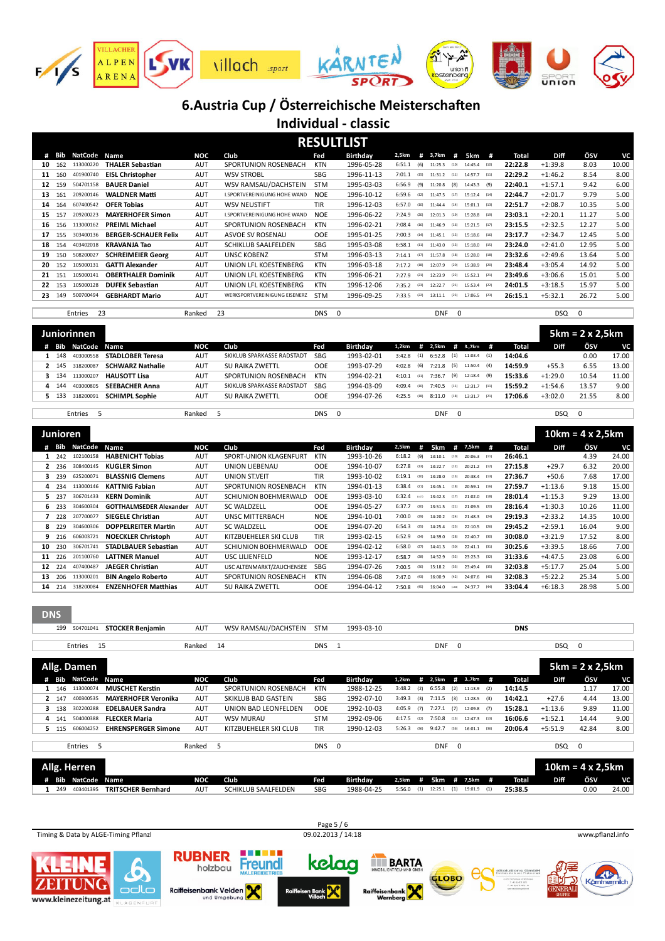

**Individual - classic**

|    |     |                |                             |            |                               |            | <b>RESULTLIST</b> |        |      |            |          |              |      |         |             |          |       |
|----|-----|----------------|-----------------------------|------------|-------------------------------|------------|-------------------|--------|------|------------|----------|--------------|------|---------|-------------|----------|-------|
| #  | Bib | NatCode        | Name                        | NOC        | Club                          | Fed        | <b>Birthday</b>   | 2,5km  | #    | 3,7km      | #        | 5km #        |      | Total   | <b>Diff</b> | ÖSV      | VC    |
| 10 | 162 | 113000220      | <b>THALER Sebastian</b>     | <b>AUT</b> | SPORTUNION ROSENBACH          | <b>KTN</b> | 1996-05-28        | 6:51.1 | (6)  | 11:25.3    | (10)     | 14:45.4      | (10) | 22:22.8 | $+1:39.8$   | 8.03     | 10.00 |
| 11 | 160 | 401900740      | <b>EISL Christopher</b>     | <b>AUT</b> | <b>WSV STROBL</b>             | SBG        | 1996-11-13        | 7:01.1 | (15) | 11:31.2    | (11)     | 14:57.7      | (11) | 22:29.2 | $+1:46.2$   | 8.54     | 8.00  |
| 12 | 159 | 504701158      | <b>BAUER Daniel</b>         | <b>AUT</b> | WSV RAMSAU/DACHSTEIN          | <b>STM</b> | 1995-03-03        | 6:56.9 | (9)  | 11:20.8    | (8)      | 14:43.3      | (9)  | 22:40.1 | $+1:57.1$   | 9.42     | 6.00  |
| 13 | 161 | 209200146      | <b>WALDNER Matti</b>        | <b>AUT</b> | I.SPORTVEREINIGUNG HOHE WAND  | <b>NOE</b> | 1996-10-12        | 6:59.6 | (12) | 11:47.5    | (17)     | 15:12.4      | (14) | 22:44.7 | $+2:01.7$   | 9.79     | 5.00  |
| 14 | 164 | 607400542      | <b>OFER Tobias</b>          | <b>AUT</b> | <b>WSV NEUSTIFT</b>           | <b>TIR</b> | 1996-12-03        | 6:57.0 | (10) | 11:44.4    | (14)     | 15:01.1      | (13) | 22:51.7 | $+2:08.7$   | 10.35    | 5.00  |
| 15 | 157 | 209200223      | <b>MAYERHOFER Simon</b>     | <b>AUT</b> | I.SPORTVEREINIGUNG HOHE WAND  | <b>NOE</b> | 1996-06-22        | 7:24.9 | (20) | 12:01.3    | (19)     | 15:28.8      | (19) | 23:03.1 | $+2:20.1$   | 11.27    | 5.00  |
| 16 | 156 | 113000162      | <b>PREIML Michael</b>       | <b>AUT</b> | SPORTUNION ROSENBACH          | <b>KTN</b> | 1996-02-21        | 7:08.4 | (16) | 11:46.9    | (16)     | 15:21.5      | (17) | 23:15.5 | $+2:32.5$   | 12.27    | 5.00  |
| 17 | 155 | 303400136      | <b>BERGER-SCHAUER Felix</b> | <b>AUT</b> | ASVOE SV ROSENAU              | <b>OOE</b> | 1995-01-25        | 7:00.3 | (14) | 11:45.1    | (15)     | 15:18.6 (16) |      | 23:17.7 | $+2:34.7$   | 12.45    | 5.00  |
| 18 | 154 | 403402018      | <b>KRAVANJA Tao</b>         | <b>AUT</b> | <b>SCHIKLUB SAALFELDEN</b>    | <b>SBG</b> | 1995-03-08        | 6:58.1 | (11) | 11:43.0    | (13)     | 15:18.0 (15) |      | 23:24.0 | $+2:41.0$   | 12.95    | 5.00  |
| 19 | 150 | 508200027      | <b>SCHREIMEIER Georg</b>    | <b>AUT</b> | <b>UNSC KOBENZ</b>            | <b>STM</b> | 1996-03-13        | 7:14.1 | (17) | 11:57.8    | (18)     | 15:28.0 (18) |      | 23:32.6 | $+2:49.6$   | 13.64    | 5.00  |
| 20 | 152 | 105000131      | <b>GATTI Alexander</b>      | <b>AUT</b> | UNION LFL KOESTENBERG         | <b>KTN</b> | 1996-03-18        | 7:17.2 | (18) | 12:07.9    | (20)     | 15:38.9 (20) |      | 23:48.4 | $+3:05.4$   | 14.92    | 5.00  |
| 21 | 151 | 105000141      | <b>OBERTHALER Dominik</b>   | <b>AUT</b> | UNION LFL KOESTENBERG         | <b>KTN</b> | 1996-06-21        | 7:27.9 | (21) | 12:23.9    | (22)     | 15:52.1      | (21) | 23:49.6 | $+3:06.6$   | 15.01    | 5.00  |
| 22 | 153 | 105000128      | <b>DUFEK Sebastian</b>      | <b>AUT</b> | UNION LFL KOESTENBERG         | KTN        | 1996-12-06        | 7:35.2 | (23) | 12:22.7    | (21)     | 15:53.4      | (22) | 24:01.5 | $+3:18.5$   | 15.97    | 5.00  |
| 23 | 149 | 500700494      | <b>GEBHARDT Mario</b>       | <b>AUT</b> | WERKSPORTVEREINIGUNG EISENERZ | <b>STM</b> | 1996-09-25        | 7:33.5 | (22) | 13:11.1    | (23)     | 17:06.5      | (23) | 26:15.1 | $+5:32.1$   | 26.72    | 5.00  |
|    |     |                |                             |            |                               |            |                   |        |      |            |          |              |      |         |             |          |       |
|    |     | -23<br>Entries |                             | Ranked     | 23                            | <b>DNS</b> | $\mathbf 0$       |        |      | <b>DNF</b> | $\Omega$ |              |      |         | <b>DSQ</b>  | $\Omega$ |       |

|       | Juniorinnen  |                         |            |                            |            |                 |              |      |                     |      |            |      |         |             | $5km = 2 \times 2,5km$ |       |
|-------|--------------|-------------------------|------------|----------------------------|------------|-----------------|--------------|------|---------------------|------|------------|------|---------|-------------|------------------------|-------|
| Bib   | NatCode Name |                         | NOC        | Club                       | Fed        | <b>Birthday</b> | 1,2km        |      | # 2,5km             |      | # 3.,7km # |      | Total   | <b>Diff</b> | ÖSV                    | VC    |
| 1 148 | 403000558    | <b>STADLOBER Teresa</b> | <b>AUT</b> | SKIKLUB SPARKASSE RADSTADT | <b>SBG</b> | 1993-02-01      | $3:42.8$ (1) |      | $6:52.8$ (1)        |      | 11:03.4    | (1)  | 14:04.6 |             | 0.00                   | 17.00 |
| 2 145 | 318200087    | <b>SCHWARZ Nathalie</b> | <b>AUT</b> | SU RAIKA ZWETTL            | <b>OOE</b> | 1993-07-29      | $4:02.8$ (6) |      | $7:21.8$ (5)        |      | 11:50.4    | (4)  | 14:59.9 | $+55.3$     | 6.55                   | 13.00 |
| 3 134 | 113000207    | <b>HAUSOTT Lisa</b>     | <b>AUT</b> | SPORTUNION ROSENBACH       | KTN        | 1994-02-21      | 4:10.1       | (11) | $7:36.7$ (9)        |      | 12:18.4    | (9)  | 15:33.6 | $+1:29.0$   | 10.54                  | 11.00 |
| 4 144 | 403000805    | <b>SEEBACHER Anna</b>   | <b>AUT</b> | SKIKLUB SPARKASSE RADSTADT | <b>SBG</b> | 1994-03-09      | 4:09.4       | (10) | 7:40.5              | (11) | 12:31.7    | (11) | 15:59.2 | $+1:54.6$   | 13.57                  | 9.00  |
| 5 133 | 318200091    | <b>SCHIMPL Sophie</b>   | AUT        | <b>SU RAIKA ZWETTL</b>     | OOE        | 1994-07-26      | 4:25.5       | (18) | 8:11.0 (18) 13:31.7 |      |            | (21) | 17:06.6 | $+3:02.0$   | 21.55                  | 8.00  |
|       |              |                         |            |                            |            |                 |              |      |                     |      |            |      |         |             |                        |       |

Entries 5 Ranked 5 DNS 0 DNF 0 DSQ 0

|                 | Junioren |                |                                |            |                              |            |                 |        |         |              |         |                |      |         |             | $10km = 4 \times 2.5km$ |           |
|-----------------|----------|----------------|--------------------------------|------------|------------------------------|------------|-----------------|--------|---------|--------------|---------|----------------|------|---------|-------------|-------------------------|-----------|
|                 | Bib      | <b>NatCode</b> | Name                           | NOC        | Club                         | Fed        | <b>Birthday</b> | 2,5km  | #       | 5km          | #       | 7,5km          | #    | Total   | <b>Diff</b> | ÖSV                     | <b>VC</b> |
|                 | 242      | 102100158      | <b>HABENICHT Tobias</b>        | <b>AUT</b> | SPORT-UNION KLAGENFURT       | <b>KTN</b> | 1993-10-26      | 6:18.2 | (9)     | 13:10.1      | (10)    | $20:06.3$ (11) |      | 26:46.1 |             | 4.39                    | 24.00     |
|                 | 2 2 3 6  | 308400145      | <b>KUGLER Simon</b>            | <b>AUT</b> | UNION LIEBENAU               | <b>OOE</b> | 1994-10-07      | 6:27.8 | (13)    | 13:22.7      | (12)    | $20:21.2$ (12) |      | 27:15.8 | $+29.7$     | 6.32                    | 20.00     |
|                 | 239      | 625200071      | <b>BLASSNIG Clemens</b>        | AUT        | UNION ST.VEIT                | TIR        | 1993-10-02      | 6:19.1 | (10)    | 13:28.0      | (13)    | $20:38.4$ (13) |      | 27:36.7 | $+50.6$     | 7.68                    | 17.00     |
|                 | 4 234    | 113000146      | <b>KATTNIG Fabian</b>          | <b>AUT</b> | SPORTUNION ROSENBACH         | <b>KTN</b> | 1994-01-13      | 6:38.4 | (21)    | 13:45.1      | (18)    | $20:59.1$ (16) |      | 27:59.7 | $+1:13.6$   | 9.18                    | 15.00     |
|                 | 237      | 306701433      | <b>KERN Dominik</b>            | <b>AUT</b> | <b>SCHIUNION BOEHMERWALD</b> | <b>OOE</b> | 1993-03-10      | 6:32.4 | $(-17)$ | 13:42.3      | (17)    | 21:02.0        | (18) | 28:01.4 | $+1:15.3$   | 9.29                    | 13.00     |
|                 | 6 233    | 304600304      | <b>GOTTHALMSEDER Alexander</b> | <b>AUT</b> | <b>SC WALDZELL</b>           | <b>OOE</b> | 1994-05-27      | 6:37.7 | (20)    | 13:51.5      | (21)    | 21:09.5 (20)   |      | 28:16.4 | $+1:30.3$   | 10.26                   | 11.00     |
|                 | 228      | 207700077      | <b>SIEGELE Christian</b>       | <b>AUT</b> | UNSC MITTERBACH              | <b>NOE</b> | 1994-10-01      | 7:00.0 | (29)    | 14:20.2      | (24)    | 21:48.3        | (24) | 29:19.3 | $+2:33.2$   | 14.35                   | 10.00     |
| 8               | 229      | 304600306      | <b>DOPPELREITER Martin</b>     | AUT        | <b>SC WALDZELL</b>           | <b>OOE</b> | 1994-07-20      | 6:54.3 | (25)    | 14:25.4      | (25)    | 22:10.5        | (26) | 29:45.2 | $+2:59.1$   | 16.04                   | 9.00      |
|                 | 216      | 606003721      | <b>NOECKLER Christoph</b>      | <b>AUT</b> | KITZBUEHELER SKI CLUB        | TIR        | 1993-02-15      | 6:52.9 | (24)    | 14:39.0      | (28)    | 22:40.7        | (30) | 30:08.0 | $+3:21.9$   | 17.52                   | 8.00      |
| 10              | 230      | 306701741      | <b>STADLBAUER Sebastian</b>    | AUT        | SCHIUNION BOEHMERWALD        | <b>OOE</b> | 1994-02-12      | 6:58.0 | (27)    | 14:41.3 (30) |         | $22:41.1$ (31) |      | 30:25.6 | $+3:39.5$   | 18.66                   | 7.00      |
| 11              | 226      | 201100760      | <b>LATTNER Manuel</b>          | <b>AUT</b> | USC LILIENFELD               | <b>NOE</b> | 1993-12-17      | 6:58.7 | (28)    | 14:52.9      | (32)    | $23:23.3$ (32) |      | 31:33.6 | $+4:47.5$   | 23.08                   | 6.00      |
| 12 <sup>2</sup> | 224      | 407400487      | <b>JAEGER Christian</b>        | AUT        | USC ALTENMARKT/ZAUCHENSEE    | <b>SBG</b> | 1994-07-26      | 7:00.5 | (30)    | 15:18.2      | (33)    | 23:49.4 (35)   |      | 32:03.8 | $+5:17.7$   | 25.04                   | 5.00      |
| 13              | 206      | 113000201      | <b>BIN Angelo Roberto</b>      | <b>AUT</b> | SPORTUNION ROSENBACH         | <b>KTN</b> | 1994-06-08      | 7:47.0 | (43)    | 16:00.9      | (42)    | 24:07.6 (40)   |      | 32:08.3 | $+5:22.2$   | 25.34                   | 5.00      |
| 14              | 214      | 318200084      | <b>ENZENHOFER Matthias</b>     | <b>AUT</b> | <b>SU RAIKA ZWETTL</b>       | <b>OOE</b> | 1994-04-12      | 7:50.8 | (45)    | 16:04.0      | $(-43)$ | 24:37.7        | (44) | 33:04.4 | $+6:18.3$   | 28.98                   | 5.00      |

| <b>LINS</b> |     |                |                            |            |                            |            |                 |                          |                        |            |             |                          |           |
|-------------|-----|----------------|----------------------------|------------|----------------------------|------------|-----------------|--------------------------|------------------------|------------|-------------|--------------------------|-----------|
|             | 199 | 504701041      | <b>STOCKER Benjamin</b>    | <b>AUT</b> | WSV RAMSAU/DACHSTEIN       | <b>STM</b> | 1993-03-10      |                          |                        | <b>DNS</b> |             |                          |           |
|             |     | Entries        | 15                         | Ranked     | 14                         | <b>DNS</b> | 1               | <b>DNF</b>               | $\mathbf 0$            |            | DSQ         | $\overline{\phantom{0}}$ |           |
|             |     | Allg. Damen    |                            |            |                            |            |                 |                          |                        |            |             | $5km = 2 \times 2.5km$   |           |
| #           | Bib | <b>NatCode</b> | Name                       | <b>NOC</b> | Club                       | Fed        | Birthday        | 1,2km<br>2,5km<br>#      | #<br>.#<br>3.,7km      | Total      | <b>Diff</b> | ÖSV                      | <b>VC</b> |
|             | 146 | 113000074      | <b>MUSCHET Kerstin</b>     | AUT        | SPORTUNION ROSENBACH       | <b>KTN</b> | 1988-12-25      | 3:48.2<br>6:55.8<br>(2)  | (2)<br>11:13.9<br>(2)  | 14:14.5    |             | 1.17                     | 17.00     |
|             | 147 | 400300535      | <b>MAYERHOFER Veronika</b> | AUT        | <b>SKIKLUB BAD GASTEIN</b> | SBG        | 1992-07-10      | 3:49.3<br>7:11.5<br>(3)  | (3)<br>$11:28.5$ (3)   | 14:42.1    | $+27.6$     | 4.44                     | 13.00     |
| з           | 138 | 302200288      | <b>EDELBAUER Sandra</b>    | <b>AUT</b> | UNION BAD LEONFELDEN       | <b>OOE</b> | 1992-10-03      | 4:05.9<br>7:27.1<br>(7)  | (7)<br>$12:09.8$ (7)   | 15:28.1    | $+1:13.6$   | 9.89                     | 11.00     |
| 4           | 141 | 504000388      | <b>FLECKER Maria</b>       | <b>AUT</b> | <b>WSV MURAU</b>           | <b>STM</b> | 1992-09-06      | 7:50.8<br>4:17.5<br>(12) | $12:47.3$ (13)<br>(13) | 16:06.6    | $+1:52.1$   | 14.44                    | 9.00      |
| 5.          | 115 | 606004252      | <b>EHRENSPERGER Simone</b> | <b>AUT</b> | KITZBUEHELER SKI CLUB      | <b>TIR</b> | 1990-12-03      | 5:26.3<br>9:42.7<br>(36) | $16:01.1$ (36)<br>(36) | 20:06.4    | $+5:51.9$   | 42.84                    | 8.00      |
|             |     | Entries 5      |                            | Ranked     | 5                          | <b>DNS</b> | 0               | <b>DNF</b>               | $\mathbf 0$            |            | DSQ 0       |                          |           |
|             |     | Allg. Herren   |                            |            |                            |            |                 |                          |                        |            |             | $10km = 4 \times 2,5km$  |           |
|             | Bib | <b>NatCode</b> | Name                       | <b>NOC</b> | Club                       | Fed        | <b>Birthday</b> | 5km<br>2,5km<br>#        | 7,5km<br>#             | Total      | Diff        | ÖSV                      | <b>VC</b> |
|             | 249 | 403401395      | TRITSCHER Bernhard         | AUT        | <b>SCHIKLUB SAALFELDEN</b> | SBG        | 1988-04-25      | 5:56.0<br>(1)<br>12:25.1 | (1)<br>(1)<br>19:01.9  | 25:38.5    |             | 0.00                     | 24.00     |

**DNS**